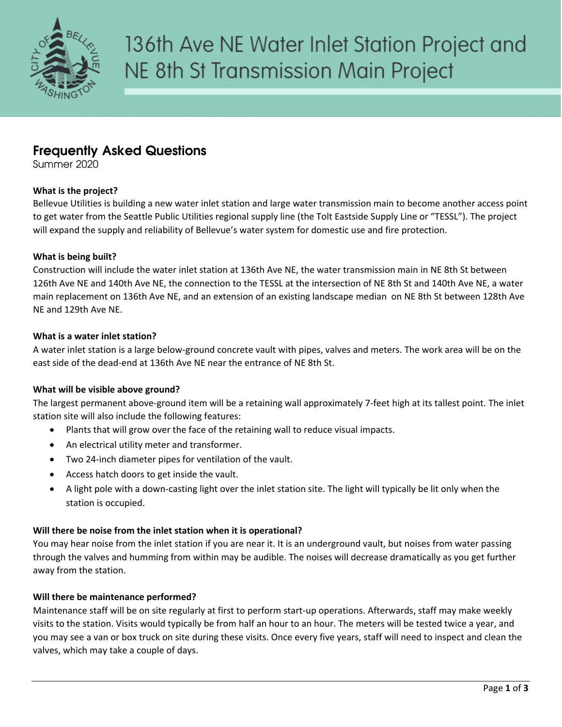

# **Frequently Asked Questions**

Summer 2020

# **What is the project?**

Bellevue Utilities is building a new water inlet station and large water transmission main to become another access point to get water from the Seattle Public Utilities regional supply line (the Tolt Eastside Supply Line or "TESSL"). The project will expand the supply and reliability of Bellevue's water system for domestic use and fire protection.

# **What is being built?**

Construction will include the water inlet station at 136th Ave NE, the water transmission main in NE 8th St between 126th Ave NE and 140th Ave NE, the connection to the TESSL at the intersection of NE 8th St and 140th Ave NE, a water main replacement on 136th Ave NE, and an extension of an existing landscape median on NE 8th St between 128th Ave NE and 129th Ave NE.

# **What is a water inlet station?**

A water inlet station is a large below-ground concrete vault with pipes, valves and meters. The work area will be on the east side of the dead-end at 136th Ave NE near the entrance of NE 8th St.

# **What will be visible above ground?**

The largest permanent above-ground item will be a retaining wall approximately 7-feet high at its tallest point. The inlet station site will also include the following features:

- Plants that will grow over the face of the retaining wall to reduce visual impacts.
- An electrical utility meter and transformer.
- Two 24-inch diameter pipes for ventilation of the vault.
- Access hatch doors to get inside the vault.
- A light pole with a down-casting light over the inlet station site. The light will typically be lit only when the station is occupied.

# **Will there be noise from the inlet station when it is operational?**

You may hear noise from the inlet station if you are near it. It is an underground vault, but noises from water passing through the valves and humming from within may be audible. The noises will decrease dramatically as you get further away from the station.

# **Will there be maintenance performed?**

Maintenance staff will be on site regularly at first to perform start-up operations. Afterwards, staff may make weekly visits to the station. Visits would typically be from half an hour to an hour. The meters will be tested twice a year, and you may see a van or box truck on site during these visits. Once every five years, staff will need to inspect and clean the valves, which may take a couple of days.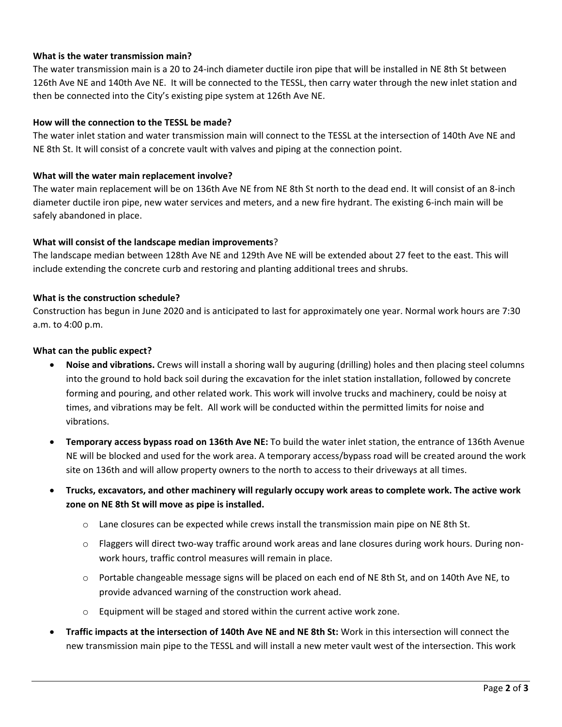# **What is the water transmission main?**

The water transmission main is a 20 to 24-inch diameter ductile iron pipe that will be installed in NE 8th St between 126th Ave NE and 140th Ave NE. It will be connected to the TESSL, then carry water through the new inlet station and then be connected into the City's existing pipe system at 126th Ave NE.

#### **How will the connection to the TESSL be made?**

The water inlet station and water transmission main will connect to the TESSL at the intersection of 140th Ave NE and NE 8th St. It will consist of a concrete vault with valves and piping at the connection point.

#### **What will the water main replacement involve?**

The water main replacement will be on 136th Ave NE from NE 8th St north to the dead end. It will consist of an 8-inch diameter ductile iron pipe, new water services and meters, and a new fire hydrant. The existing 6-inch main will be safely abandoned in place.

#### **What will consist of the landscape median improvements**?

The landscape median between 128th Ave NE and 129th Ave NE will be extended about 27 feet to the east. This will include extending the concrete curb and restoring and planting additional trees and shrubs.

### **What is the construction schedule?**

Construction has begun in June 2020 and is anticipated to last for approximately one year. Normal work hours are 7:30 a.m. to 4:00 p.m.

#### **What can the public expect?**

- **Noise and vibrations.** Crews will install a shoring wall by auguring (drilling) holes and then placing steel columns into the ground to hold back soil during the excavation for the inlet station installation, followed by concrete forming and pouring, and other related work. This work will involve trucks and machinery, could be noisy at times, and vibrations may be felt. All work will be conducted within the permitted limits for noise and vibrations.
- **Temporary access bypass road on 136th Ave NE:** To build the water inlet station, the entrance of 136th Avenue NE will be blocked and used for the work area. A temporary access/bypass road will be created around the work site on 136th and will allow property owners to the north to access to their driveways at all times.
- **Trucks, excavators, and other machinery will regularly occupy work areas to complete work. The active work zone on NE 8th St will move as pipe is installed.**
	- $\circ$  Lane closures can be expected while crews install the transmission main pipe on NE 8th St.
	- o Flaggers will direct two-way traffic around work areas and lane closures during work hours. During nonwork hours, traffic control measures will remain in place.
	- $\circ$  Portable changeable message signs will be placed on each end of NE 8th St, and on 140th Ave NE, to provide advanced warning of the construction work ahead.
	- o Equipment will be staged and stored within the current active work zone.
- **Traffic impacts at the intersection of 140th Ave NE and NE 8th St:** Work in this intersection will connect the new transmission main pipe to the TESSL and will install a new meter vault west of the intersection. This work